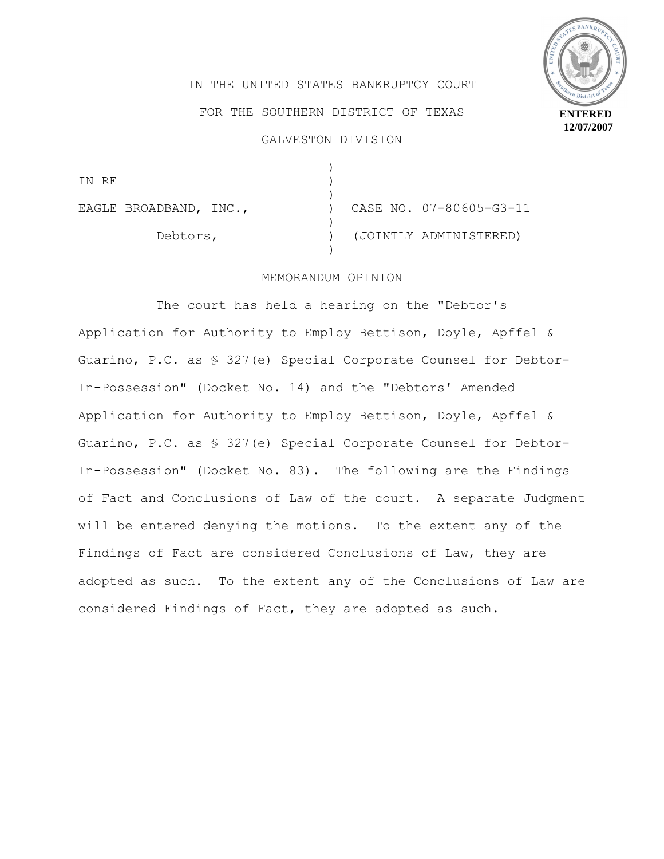

IN THE UNITED STATES BANKRUPTCY COURT FOR THE SOUTHERN DISTRICT OF TEXAS GALVESTON DIVISION

) IN RE ) ) EAGLE BROADBAND, INC.,  $(07 - 80605 - 63 - 11)$ ) Debtors, ) (JOINTLY ADMINISTERED) )

## MEMORANDUM OPINION

The court has held a hearing on the "Debtor's Application for Authority to Employ Bettison, Doyle, Apffel & Guarino, P.C. as § 327(e) Special Corporate Counsel for Debtor-In-Possession" (Docket No. 14) and the "Debtors' Amended Application for Authority to Employ Bettison, Doyle, Apffel & Guarino, P.C. as § 327(e) Special Corporate Counsel for Debtor-In-Possession" (Docket No. 83). The following are the Findings of Fact and Conclusions of Law of the court. A separate Judgment will be entered denying the motions. To the extent any of the Findings of Fact are considered Conclusions of Law, they are adopted as such. To the extent any of the Conclusions of Law are considered Findings of Fact, they are adopted as such.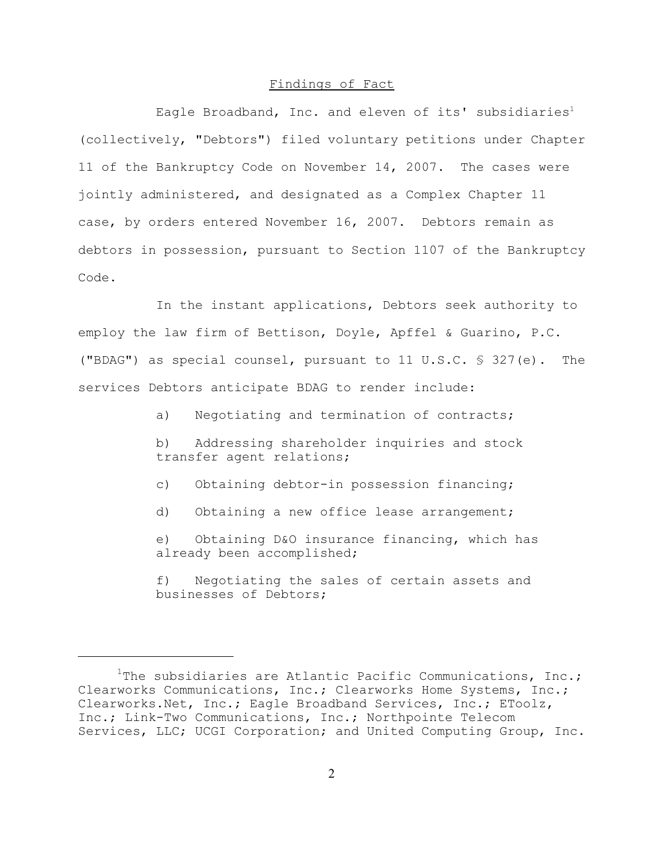## Findings of Fact

Eagle Broadband, Inc. and eleven of its' subsidiaries<sup>1</sup> (collectively, "Debtors") filed voluntary petitions under Chapter 11 of the Bankruptcy Code on November 14, 2007. The cases were jointly administered, and designated as a Complex Chapter 11 case, by orders entered November 16, 2007. Debtors remain as debtors in possession, pursuant to Section 1107 of the Bankruptcy Code.

In the instant applications, Debtors seek authority to employ the law firm of Bettison, Doyle, Apffel & Guarino, P.C. ("BDAG") as special counsel, pursuant to 11 U.S.C. § 327(e). The services Debtors anticipate BDAG to render include:

a) Negotiating and termination of contracts;

b) Addressing shareholder inquiries and stock transfer agent relations;

c) Obtaining debtor-in possession financing;

d) Obtaining a new office lease arrangement;

e) Obtaining D&O insurance financing, which has already been accomplished;

f) Negotiating the sales of certain assets and businesses of Debtors;

<sup>&</sup>lt;sup>1</sup>The subsidiaries are Atlantic Pacific Communications, Inc.; Clearworks Communications, Inc.; Clearworks Home Systems, Inc.; Clearworks.Net, Inc.; Eagle Broadband Services, Inc.; EToolz, Inc.; Link-Two Communications, Inc.; Northpointe Telecom Services, LLC; UCGI Corporation; and United Computing Group, Inc.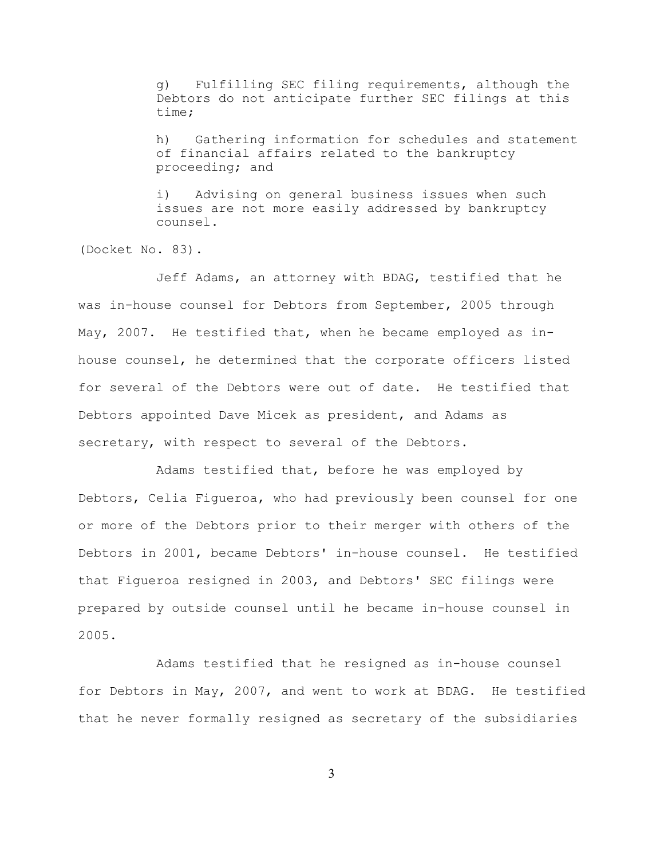g) Fulfilling SEC filing requirements, although the Debtors do not anticipate further SEC filings at this time;

h) Gathering information for schedules and statement of financial affairs related to the bankruptcy proceeding; and

i) Advising on general business issues when such issues are not more easily addressed by bankruptcy counsel.

(Docket No. 83).

Jeff Adams, an attorney with BDAG, testified that he was in-house counsel for Debtors from September, 2005 through May, 2007. He testified that, when he became employed as inhouse counsel, he determined that the corporate officers listed for several of the Debtors were out of date. He testified that Debtors appointed Dave Micek as president, and Adams as secretary, with respect to several of the Debtors.

Adams testified that, before he was employed by Debtors, Celia Figueroa, who had previously been counsel for one or more of the Debtors prior to their merger with others of the Debtors in 2001, became Debtors' in-house counsel. He testified that Figueroa resigned in 2003, and Debtors' SEC filings were prepared by outside counsel until he became in-house counsel in 2005.

Adams testified that he resigned as in-house counsel for Debtors in May, 2007, and went to work at BDAG. He testified that he never formally resigned as secretary of the subsidiaries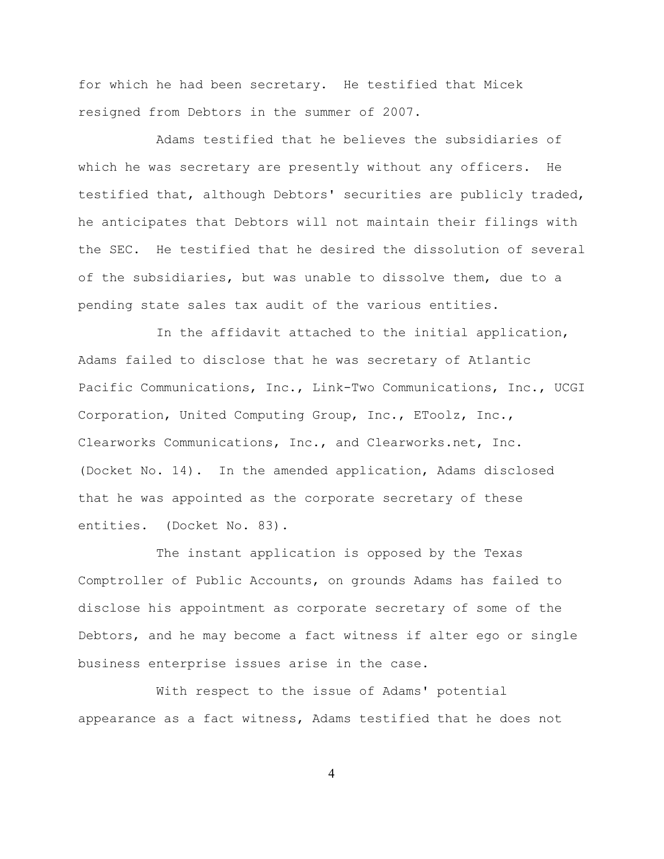for which he had been secretary. He testified that Micek resigned from Debtors in the summer of 2007.

Adams testified that he believes the subsidiaries of which he was secretary are presently without any officers. He testified that, although Debtors' securities are publicly traded, he anticipates that Debtors will not maintain their filings with the SEC. He testified that he desired the dissolution of several of the subsidiaries, but was unable to dissolve them, due to a pending state sales tax audit of the various entities.

In the affidavit attached to the initial application, Adams failed to disclose that he was secretary of Atlantic Pacific Communications, Inc., Link-Two Communications, Inc., UCGI Corporation, United Computing Group, Inc., EToolz, Inc., Clearworks Communications, Inc., and Clearworks.net, Inc. (Docket No. 14). In the amended application, Adams disclosed that he was appointed as the corporate secretary of these entities. (Docket No. 83).

The instant application is opposed by the Texas Comptroller of Public Accounts, on grounds Adams has failed to disclose his appointment as corporate secretary of some of the Debtors, and he may become a fact witness if alter ego or single business enterprise issues arise in the case.

With respect to the issue of Adams' potential appearance as a fact witness, Adams testified that he does not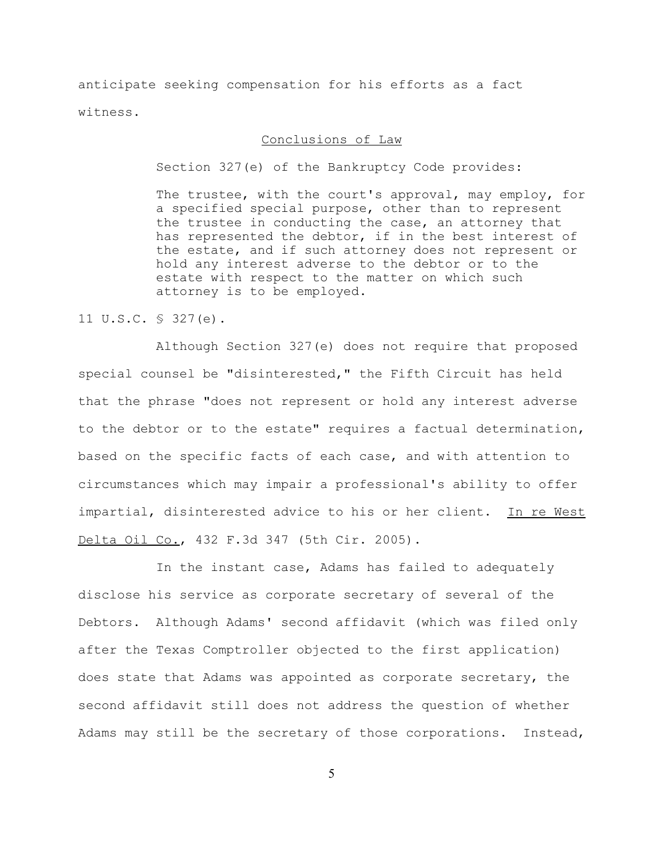anticipate seeking compensation for his efforts as a fact witness.

## Conclusions of Law

Section 327(e) of the Bankruptcy Code provides:

The trustee, with the court's approval, may employ, for a specified special purpose, other than to represent the trustee in conducting the case, an attorney that has represented the debtor, if in the best interest of the estate, and if such attorney does not represent or hold any interest adverse to the debtor or to the estate with respect to the matter on which such attorney is to be employed.

11 U.S.C. § 327(e).

Although Section 327(e) does not require that proposed special counsel be "disinterested," the Fifth Circuit has held that the phrase "does not represent or hold any interest adverse to the debtor or to the estate" requires a factual determination, based on the specific facts of each case, and with attention to circumstances which may impair a professional's ability to offer impartial, disinterested advice to his or her client. In re West Delta Oil Co., 432 F.3d 347 (5th Cir. 2005).

In the instant case, Adams has failed to adequately disclose his service as corporate secretary of several of the Debtors. Although Adams' second affidavit (which was filed only after the Texas Comptroller objected to the first application) does state that Adams was appointed as corporate secretary, the second affidavit still does not address the question of whether Adams may still be the secretary of those corporations. Instead,